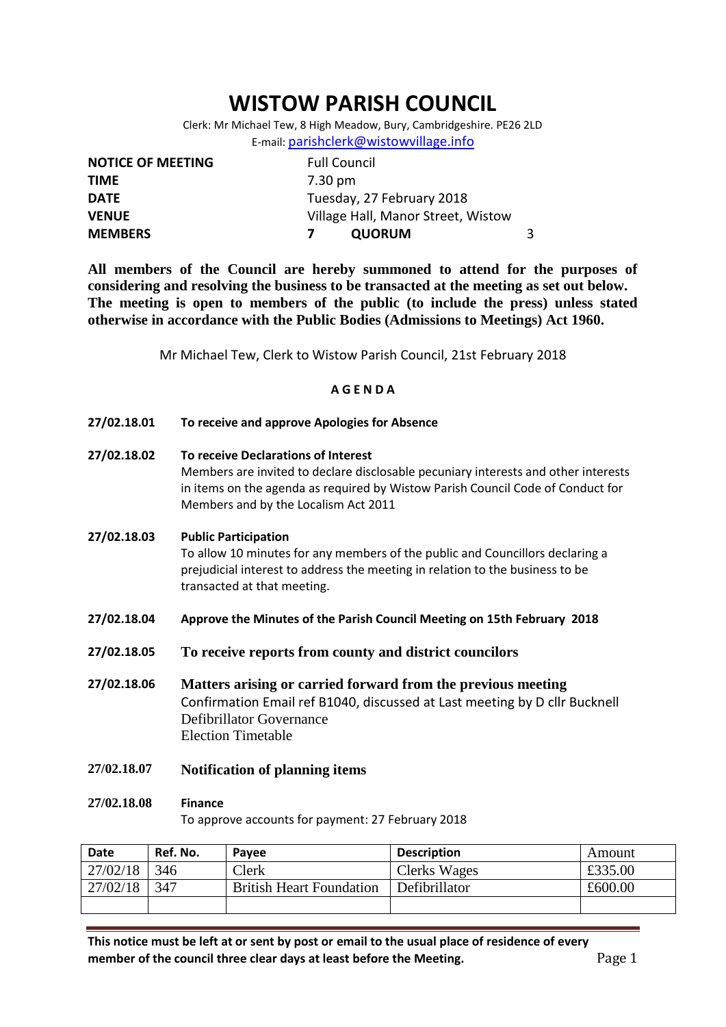# **WISTOW PARISH COUNCIL**

Clerk: Mr Michael Tew, 8 High Meadow, Bury, Cambridgeshire. PE26 2LD E-mail: [parishclerk@wistowvillage.info](mailto:parishclerk@wistowvillage.info)

| <b>NOTICE OF MEETING</b> | <b>Full Council</b>                |   |
|--------------------------|------------------------------------|---|
| <b>TIME</b>              | 7.30 pm                            |   |
| <b>DATE</b>              | Tuesday, 27 February 2018          |   |
| <b>VENUE</b>             | Village Hall, Manor Street, Wistow |   |
| <b>MEMBERS</b>           | <b>QUORUM</b>                      | 3 |

**All members of the Council are hereby summoned to attend for the purposes of considering and resolving the business to be transacted at the meeting as set out below. The meeting is open to members of the public (to include the press) unless stated otherwise in accordance with the Public Bodies (Admissions to Meetings) Act 1960.**

Mr Michael Tew, Clerk to Wistow Parish Council, 21st February 2018

### **A G E N D A**

- **27/02.18.01 To receive and approve Apologies for Absence**
- **27/02.18.02 To receive Declarations of Interest**

Members are invited to declare disclosable pecuniary interests and other interests in items on the agenda as required by Wistow Parish Council Code of Conduct for Members and by the Localism Act 2011

#### **27/02.18.03 Public Participation**

To allow 10 minutes for any members of the public and Councillors declaring a prejudicial interest to address the meeting in relation to the business to be transacted at that meeting.

- **27/02.18.04 Approve the Minutes of the Parish Council Meeting on 15th February 2018**
- **27/02.18.05 To receive reports from county and district councilors**

**27/02.18.06 Matters arising or carried forward from the previous meeting** Confirmation Email ref B1040, discussed at Last meeting by D cllr Bucknell Defibrillator Governance Election Timetable

**27/02.18.07 Notification of planning items**

#### **27/02.18.08 Finance**

To approve accounts for payment: 27 February 2018

| <b>Date</b> | Ref. No. | Pavee                           | <b>Description</b> | Amount  |
|-------------|----------|---------------------------------|--------------------|---------|
| 27/02/18    | 346      | Clerk                           | Clerks Wages       | £335.00 |
| 27/02/18    | 347      | <b>British Heart Foundation</b> | Defibrillator      | £600.00 |
|             |          |                                 |                    |         |

**This notice must be left at or sent by post or email to the usual place of residence of every member of the council three clear days at least before the Meeting.** Page 1